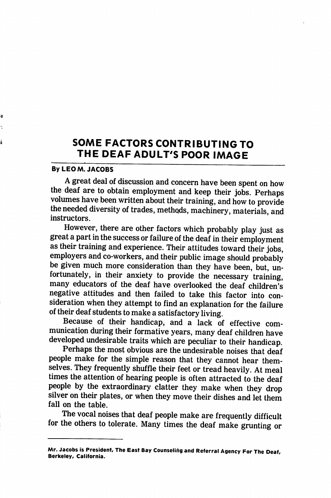## SOME FACTORS CONTRIBUTING TO THE DEAF ADULT'S POOR IMAGE

## By LEO M. JACOBS

Ð

ś

A great deal of discussion and concern have been spent on how the deaf are to obtain employment and keep their jobs. Perhaps volumes have been written about their training, and how to provide the needed diversity of trades, methods, machinery, materials, and instructors.

However, there are other factors which probably play just as great a part in the success or failure of the deaf in their employment as their training and experience. Their attitudes toward their jobs, employers and co-workers, and their public image should probably be given much more consideration than they have been, but, un fortunately, in their anxiety to provide the necessary training, many educators of the deaf have overlooked the deaf children's negative attitudes and then failed to take this factor into con sideration when they attempt to find an explanation for the failure of their deaf students to make a satisfactory living.

Because of their handicap, and a lack of effective com munication during their formative years, many deaf children have developed undesirable traits which are peculiar to their handicap.

Perhaps the most obvious are the undesirable noises that deaf people make for the simple reason that they cannot hear them selves. They frequently shuffle their feet or tread heavily. At meal times the attention of hearing people is often attracted to the deaf people by the extraordinary clatter they make when they drop silver on their plates, or when they move their dishes and let them fall on the table.

The vocal noises that deaf people make are frequently difficult for the others to tolerate. Many times the deaf make grunting or

Mr. Jacobs is President, The East Bay Counseling and Referral Agency For The Deaf, Berkeley, California.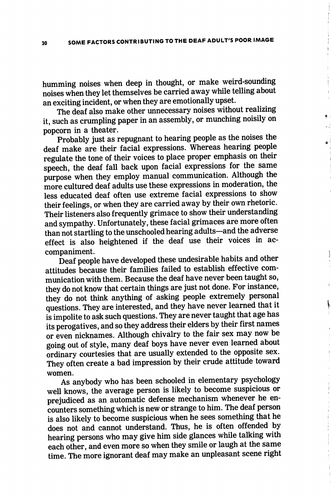humming noises when deep in thought, or make weird-sounding noises when they let themselves be carried away while telling about an exciting incident, or when they are emotionally upset.

The deaf also make other unnecessary noises without realizing it, such as crumpling paper in an assembly, or munching noisily on popcorn in a theater.

Probably just as repugnant to hearing people as the noises the deaf make are their facial expressions. Whereas hearing people regulate the tone of their voices to place proper emphasis on their speech, the deaf fall back upon facial expressions for the same purpose when they employ manual communication. Although the more cultured deaf adults use these expressions in moderation, the less educated deaf often use extreme facial expressions to show their feelings, or when they are carried away by their own rhetoric. Their listeners also frequently grimace to show their understanding and sympathy. Unfortunately, these facial grimaces are more often than not startling to the unschooled hearing adults—and the adverse effect is also heightened if the deaf use their voices in ac companiment.

Deaf people have developed these undesirable habits and other attitudes because their families failed to establish effective com munication with them. Because the deaf have never been taught so, they do not know that certain things are just not done. For instance, they do not think anything of asking people extremely personal questions. They are interested, and they have never learned that it is impolite to ask such questions. They are never taught that age has its perogatives, and so they address their elders by their first names or even nicknames. Although chivalry to the fair sex may now be going out of style, many deaf boys have never even learned about ordinary courtesies that are usually extended to the opposite sex. They often create a bad impression by their crude attitude toward women.

As anybody who has been schooled in elementary psychology well knows, the average person is likely to become suspicious or prejudiced as an automatic defense mechanism whenever he en counters something which is new or strange to him. The deaf person is also likely to become suspicious when he sees something that he does not and cannot understand. Thus, he is often offended by hearing persons who may give him side glances while talking with each other, and even more so when they smile or laugh at the same time. The more ignorant deaf may make an unpleasant scene right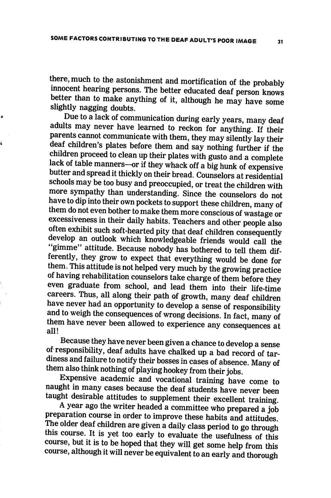ø

á

there, much to the astonishment and mortification of the probably innocent hearing persons. The better educated deaf person knows better than to make anything of it, although he may have some slightly nagging doubts.

Due to a lack of communication during early years, many deaf adults may never have learned to reckon for anything. If their parents cannot communicate with them, they may silently lay their deaf children's plates before them and say nothing further if the children proceed to clean up their plates with gusto and a complete lack of table manners—or if they whack off a big hunk of expensive butter and spread it thickly on their bread. Counselors at residential schools may be too busy and preoccupied, or treat the children with more sympathy than understanding. Since the counselors do not have to dip into their own pockets to support these children, many of them do not even bother to make them more conscious of wastage or excessiveness in their daily habits. Teachers and other people also often exhibit such soft-hearted pity that deaf children consequently develop an outlook which knowledgeable friends would call the "gimme" attitude. Because nobody has bothered to tell them differently, they grow to expect that everything would be done for them. This attitude is not helped very much by the growing practice of having rehabilitation counselors take charge of them before they even graduate from school, and lead them into their life-time careers. Thus, all along their path of growth, many deaf children have never had an opportunity to develop a sense of responsibility and to weigh the consequences of wrong decisions. In fact, many of them have never been allowed to experience any consequences at all!

Because they have never been given a chance to develop a sense of responsibility, deaf adults have chalked up a bad record of tar diness and failure to notify their bosses in cases of absence. Many of them also think nothing of playing hookey from their jobs.

Expensive academic and vocational training have come to naught in many cases because the deaf students have never been taught desirable attitudes to supplement their excellent training.

A year ago the writer headed a committee who prepared a job preparation course in order to improve these habits and attitudes. The older deaf children are given a daily class period to go through this course. It is yet too early to evaluate the usefulness of this course, but it is to be hoped that they will get some help from this course, although it will never be equivalent to an early and thorough